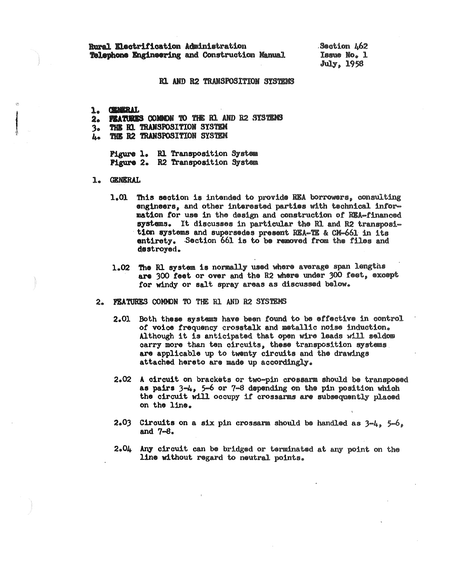Rural Electrification Administration Telephone Engineering and Construction Manual Section 462 Issue No. 1 **July, 1958** 

## R1 AND R2 TRANSPOSITION SYSTEMS

1. CEMBAL

- 2. FEATURES COMMON TO THE R1 AND R2 SYSTEMS
- THE EL TRANSPOSITION SYSTEM  $3<sub>o</sub>$
- THE R2 TRANSPOSITION SYSTEM ls a

Pigure 1. R1 Transposition System **Pigure 2. R2 Transposition System** 

- **GENERAL** 1.
	- 1.01 This section is intended to provide REA borrowers, consulting engineers, and other interested parties with technical information for use in the design and construction of REA-financed systems. It discusses in particular the R1 and R2 transposition systems and supersedes present REA-TE & CM-661 in its entirety. Section 661 is to be removed from the files and destroyed.
	- 1.02 The R1 system is normally used where average span lengths are 300 feet or over and the R2 where under 300 feet, except for windy or salt spray areas as discussed below.
- FRATURES COMMON TO THE R1 AND R2 SYSTEMS  $2<sub>a</sub>$ 
	- 2.01 Both these systems have been found to be effective in control of voice frequency crosstalk and metallic noise induction. Although it is anticipated that open wire leads will seldow carry more than ten circuits, these transposition systems are applicable up to twenty circuits and the drawings attached hereto are made up accordingly.
	- 2.02 A circuit on brackets or two-pin crossarm should be transposed as pairs  $3-4$ ,  $5-6$  or  $7-8$  depending on the pin position which the circuit will occupy if crossarms are subsequently placed on the line.
	- 2.03 Circuits on a six pin crossarm should be handled as  $3-4$ .  $5-6$ . and  $7 - 8$ .
	- 2.04 Any circuit can be bridged or terminated at any point on the line without regard to neutral points.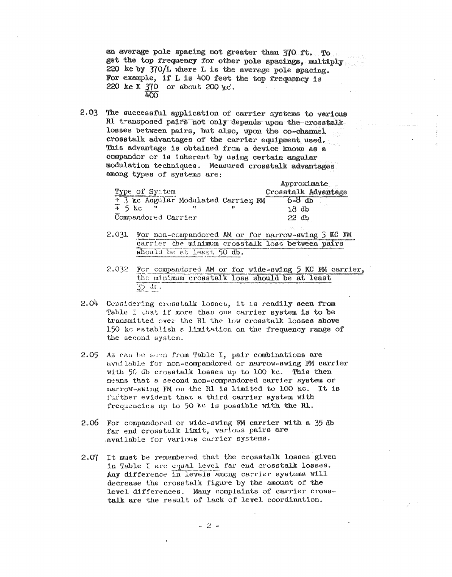an average pole spacing not greater than 370 ft. To get the top frequency for other pole spacings, multiply 220 kc by 370/L where L is the average pole spacing. For example, if L is 400 feet the top frequency is 220 kc X 370 or about 200 kc.  $\frac{1}{2}$ 

 $2.03$ The successful application of carrier systems to various R1 transposed pairs not only depends upon the crosstalk losses between pairs, but also, upon the co-channel crosstalk advantages of the carrier equipment used. This advantage is obtained from a device known as a compandor or is inherent by using certain angular modulation techniques. Measured crosstalk advantages among types of systems are:

|                                      |  | Approximate         |
|--------------------------------------|--|---------------------|
| Type of System                       |  | Crosstalk Advantage |
| + 3 kc Angular Modulated Carrier, FM |  | 6~8 db              |
| $+5$ kc                              |  | 18 db               |
| Compandored Carrier                  |  | 22 d h              |

- $2.031$ For non-compandored AM or for narrow-swing  $\widetilde{\jmath}$  KC FM carrier the winimum crosstalk loss between pairs should be at least, 50 db.
- 2.032 For compandored AM or for wide-swing 5 KC FM carrier, the minimum crosstalk loss should be at least  $35 \text{ dt}$ .
- 2.04 Considering crosstalk losses, it is readily seen from Table I that if more than one carrier system is to be transmitted over the R1 the low crosstalk losses above 150 kc establish a limitation on the frequency range of the second system.
- $2.05$ As can be seen from Table I, pair combinations are available for non-compandored or narrow-swing FM carrier with 50 db crosstalk losses up to 100 kc. This then means that a second non-compandored carrier system or narrow-swing FM on the R1 is limited to 100 kc. It is further evident that a third carrier system with frequencies up to 50 kc is possible with the Rl.
- For compandored or wide-swing FM carrier with a 35 db 2.06 far end crosstalk limit, various pairs are available for various carrier systems.
- It must be remembered that the crosstalk losses given  $2.07$ in Table I are equal level far end crosstalk losses. Any difference in levels among carrier systems will decrease the crosstalk figure by the amount of the level differences. Many complaints of carrier crosstalk are the result of lack of level coordination.

 $-2$   $-$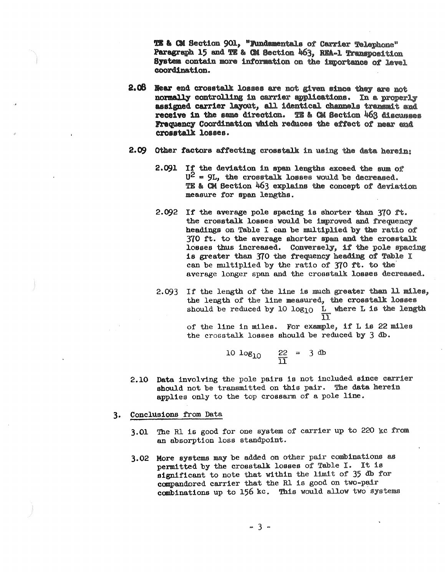**TE & CM** Section 901, "Fundamentals of Carrier Telephone" Paragraph 15 and TE & CM Section 463, REA-1 Transposition System contain more information on the importance of level coordination.

- **2.08 Rear end crosstalk losses are not given since they are not** normally controlling in carrier applications. In a properly assigned carrier layout, all identical channels transmit and receive in the same direction. TE & CM Section  $\frac{\mu}{63}$  discusses Frequency' Coordination vhich reduces the effect of mar end croaatalk loases.
- 2.09 Other factors affecting crosstalk in using the data herein:
	- **2.091**  If the deviation in span lengths exceed the sum of?  $U^2 = 9L$ , the crosstalk losses would be decreased. TE & CM Section 463 explains the concept of deviation measure for span lengths.
	- 2.092 If the average pole spacing is shorter than  $370$  ft. the crosstalk losses would be improved and frequency headings on Table I can be multiplied by the ratio of 370 ft. to the average shorter span and the crosstalk losses thus increased. Conversely, if the pole spacing is greater then 370 the frequency heading of Table I can be multiplied by the ratio of 370 ft. to the average longer span and the crosstalk losses decreased.
	- 2.093 If the length of the line is much greater than 11 miles, the length of the line measured, the crosstalk losses should be reduced by 10  $log_{10}$  L where L is the length  $11$ of the line in miles. For example, if Lis 22 miles the crosstalk losses should be reduced by 3 db.

$$
10 \log_{10} \qquad \frac{22}{11} = 3 \text{ db}
$$

- **2.10 Data** involving the pole pairs is not included since carrier **should** not be transmitted on this pair. The data herein applies only to the top crossarm of a pole line.
- 3. Conclusions from Data
	- 3.01 The R1 is good for one system of carrier up to 220 kc from an absorption loss standpoint.
	- 3.02 More systems may be added on other pair combinations as permitted by the crosstalk losses of Table I. It is significant to note that within the limit of 35 db for compandored carrier that the Rl is good on two-pair combinations up to 156 kc. This would allow two systems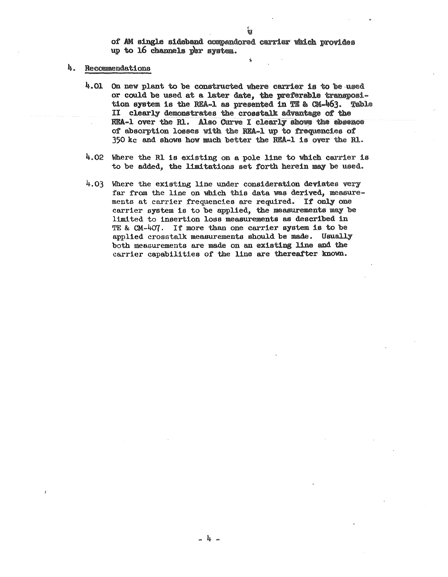of AM single sideband compandored carrier which provides up to  $16$  channels per system.

## 4. Recommendations

- $4.01$  On new plant to be constructed where carrier is to be used or could be used at a later date, the preferable transposition system is the REA-1 as presented in TE & CM- $463$ . Table II clearly demonstrates the crosstalk **advantage** of the REA-1 over the R1. Also Curve I clearly shows the absence of absorption losses with the REA-1 up to frequencies of 350 kc and show how much better the REA-1 is over the ru..
- 4.02 Where the Rl is existing on a pole line to which carrier is to be added, the limitations set forth herein may be used.
- 4.03 Where the existing line under consideration deviates very far from the line on which this data was derived, measurements at carrier frequencies are required. If only one carrier system is to be applied, the measurements may be limited to insertion loss measurements as described in TE & CM-4o7. If more than one carrier system is to be applied crosstalk measurements should be made. Usually both measurements are made on an existing line and the carrier capabilities of the line are thereafter known.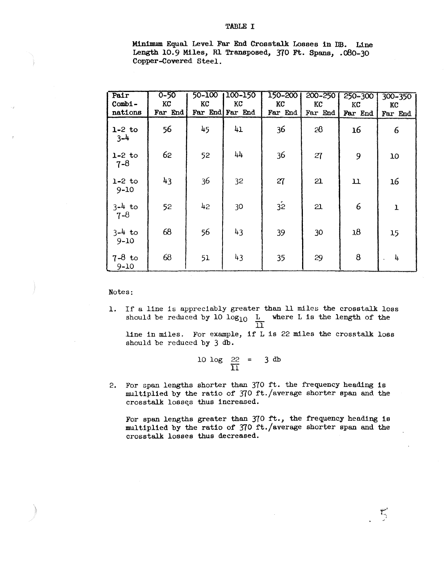Minimum Equal Level Far End Crosstalk Losses in DB. Line Length 10.9 Miles, R1 Transposed, 370 Ft. Spans, .080-30 Copper-Covered Steel.

| Pair<br>$Comb1 -$<br>nations | $0 - 50$<br>KC<br>Far End | 50-100<br>KC<br>Far End | $100 - 150$<br>KC<br>Far End | 150-200<br>KC<br>Far End | 200-250<br>KC<br>Far End | 250-300<br>KC<br>Far End | 300-350<br>KC<br>Far End |
|------------------------------|---------------------------|-------------------------|------------------------------|--------------------------|--------------------------|--------------------------|--------------------------|
| $1-2$ to<br>$3 - 4$          | 56                        | 45                      | 41                           | 36                       | 28                       | 16                       | 6                        |
| $1-2$ to<br>$7 - 8$          | 62                        | 52                      | 44                           | 36                       | 27                       | 9                        | 10                       |
| $1-2$ to<br>$9 - 10$         | 43                        | 36                      | 32                           | 27                       | 21                       | $\mathbf u$              | 16                       |
| $3 - 4$ to<br>$7 - 8$        | 52                        | 42                      | 30                           | $\overline{32}$          | 21                       | 6                        | 1                        |
| $3 - 4$ to<br>$9 - 10$       | 68                        | 56                      | 43                           | 39                       | 30                       | 18                       | 15                       |
| $7-8$ to<br>$9 - 10$         | 68                        | 51                      | 43                           | 35                       | 29                       | 8                        | 4                        |

Notes:

l. If a line is appreciably greater than ll miles the crosstalk loss should be reduced by 10  $log_{10}$   $\frac{L}{12}$  where L is the length of the  $\Box$ 

line in miles. For example, if Lis 22 miles the crosstalk loss should be reduced **by** 3 db.

$$
\frac{10 \log \frac{22}{11}}{}
$$
 = 3 db

2. For span lengths shorter than 370 ft. the frequency heading is multiplied by the ratio of 370 ft./average shorter span and the crosstalk losses thus increased.

For span lengths greater than 370 ft., the frequency heading is multiplied by the ratio of 370 ft./average shorter span and the crosstalk losses thus decreased.

أسبب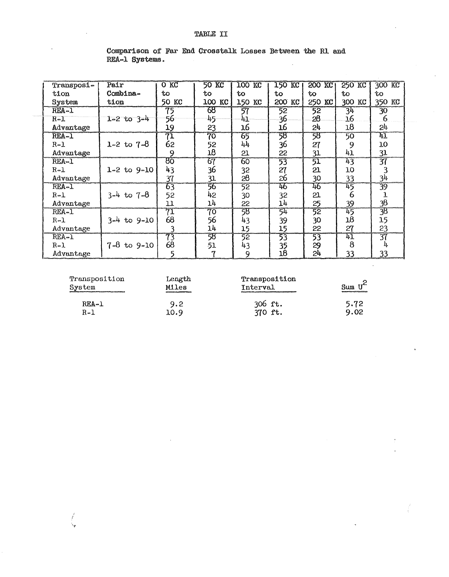| Transposi- | Pair                | $O$ K $C$    | 50 KC     | <b>TOO KC</b> | 150 KC          | <b>200 KC</b>   | 250 KC         | 300 KC                   |
|------------|---------------------|--------------|-----------|---------------|-----------------|-----------------|----------------|--------------------------|
| $t1$ on    | Combina-            | to           | tο        | to            | to              | to              | to             | tо                       |
| System     | tion                | 50 KC        | 100<br>КC | 150 KC        | <b>200 KC</b>   | 250 KC          | 300 KC         | 350<br>KC                |
| REA-1      |                     | 75           | 68        | 57            | 52              | $\overline{52}$ | 3 <sup>h</sup> | $\overline{30}$          |
| $R-1$      | $1 - 2$ to $3 - 4$  | 56           | 45        | 41            | 36              | 28              | 16             | 6                        |
| Advantage  |                     | 19           | 23        | 16            | 16              | 54              | 18             | 24                       |
| REA-1      |                     | 71           | 70        | 65            | 郖               | 58              | 50             | $\overline{\mathtt{kl}}$ |
| $R-1$      | 1-2 to $7-8$        | 62           | 52        | 44            | 36              | 27              | 9              | 10                       |
| Advantage  |                     | 9            | 18        | 21            | 22              | 31              | 41             | 31                       |
| $REA-1$    |                     | $80^{\circ}$ | 67        | 60            | 53              | $\overline{51}$ | 43             | 37                       |
| $R-1$      | $1 - 2$ to $9 - 10$ | 43           | 36        | 32            | 27              | 21              | 10             |                          |
| Advantage  |                     | 37           | 31        | 28            | 26              | 30              | 33             | 34                       |
| REA-1      |                     | 63           | 56        | 52            | 46              | 46              | 45             | 39                       |
| $R-1$      | $3-4$ to $7-8$      | 52           | 45        | 30            | 32              | 21              | 6              |                          |
| Advantage  |                     | 11           | 14        | 55            | 14              | 25              | 39             | 38                       |
| REA-1      |                     | 71           | 70        | 58            | 54              | 52              | 45             | $\overline{\mathcal{B}}$ |
| $R - 1$    | $3-4$ to $9-10$     | 68           | 56        | 43            | 39              | 30              | 18             | 15                       |
| Advantage  |                     | 3            | 14        | 15            | 15              | 22              | 27             | 23                       |
| $REA-1$    |                     | 73           | 58        | 52            | 53              | 53              | 41             | 37                       |
| $R-1$      | $7 - 8$ to $9 - 10$ | 68           | 51        | 43            | 35              | 29              | 8              | 4                        |
| Advantage  |                     |              | 7         | 9             | $\overline{18}$ | 24              | 33             | 33                       |

Comparison of Far End Crosstalk Losses Between the Rl end REA-1 Systems.  $\ddot{\phantom{a}}$ 

| Transposition<br>System | Length<br>Miles<br>commencers and address that the comme | Transposition<br>Interval<br>and the control of the control of the control of the control of the control of the control of the control of | Sum $U^{\text{c}}$<br><b>CONTRACTOR CONTRACTOR CONTRACTOR</b> |
|-------------------------|----------------------------------------------------------|-------------------------------------------------------------------------------------------------------------------------------------------|---------------------------------------------------------------|
| REA-1                   | 9.2                                                      | 306 ft.                                                                                                                                   | 5.72                                                          |
| $R-1$                   | 10.9                                                     | 370 ft.                                                                                                                                   | 9.02                                                          |

f

 $\ddot{\phantom{a}}$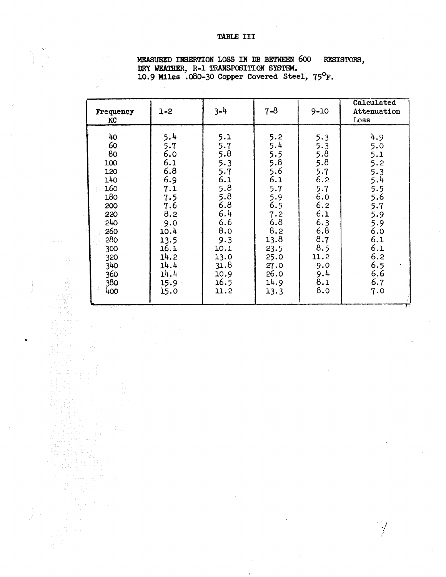## TABLE III

| Frequency<br>KC                                                                                                                | $1 - 2$                                                                                                                                   | $3-4$                                                                                                                                   | $7 - 8$                                                                                                                                  | $9 - 10$                                                                                                                           | Calculated<br>Attenuation<br>Loss                                                                                                              |
|--------------------------------------------------------------------------------------------------------------------------------|-------------------------------------------------------------------------------------------------------------------------------------------|-----------------------------------------------------------------------------------------------------------------------------------------|------------------------------------------------------------------------------------------------------------------------------------------|------------------------------------------------------------------------------------------------------------------------------------|------------------------------------------------------------------------------------------------------------------------------------------------|
| 40<br>60<br>80<br>100<br>120<br>140<br>160<br>180<br>200<br>220<br>240<br>260<br>280<br>300<br>320<br>340<br>360<br>380<br>400 | 5.4<br>5.7<br>6.0<br>6.1<br>6.8<br>6.9<br>7.1<br>7.5<br>7.6<br>8,2<br>9.0<br>10.4<br>13.5<br>16.1<br>14.2<br>14.4<br>14.4<br>15.9<br>15.0 | 5.1<br>5.7<br>5.8<br>5.3<br>5.7<br>6.1<br>5.8<br>5.8<br>6.8<br>6.4<br>6.6<br>8.0<br>9.3<br>10.1<br>13.0<br>31.8<br>10.9<br>16.5<br>11.2 | 5.2<br>5.4<br>5.5<br>5.8<br>5.6<br>6.1<br>5.7<br>5.9<br>6.5<br>7.2<br>6.8<br>8.2<br>13.8<br>23.5<br>25.0<br>27.0<br>26.0<br>14.9<br>13.3 | 5.3<br>5.3<br>5.8<br>5.8<br>5.7<br>6.2<br>5.7<br>6.0<br>6.2<br>6.1<br>6.3<br>6.8<br>8.7<br>8.5<br>11.2<br>9.0<br>9.4<br>8.1<br>8.0 | 4.9<br>5.0<br>5.1<br>5.2<br>5.3<br>$5.\overline{4}$<br>5.5<br>5.6<br>5.7<br>5.9<br>5.9<br>6.0<br>6.1<br>6.1<br>6.2<br>6.5<br>6.6<br>6.7<br>7.0 |

## **MEASURED INSERTION LOSS IN DB BETWEEN 600 RES<br>DRY WEATHER, R-1 TRANSPOSITION SYSTEM.<br>10.9 Miles .080-30 Copper Covered Steel, 75<sup>0</sup>F.** RESISTORS,